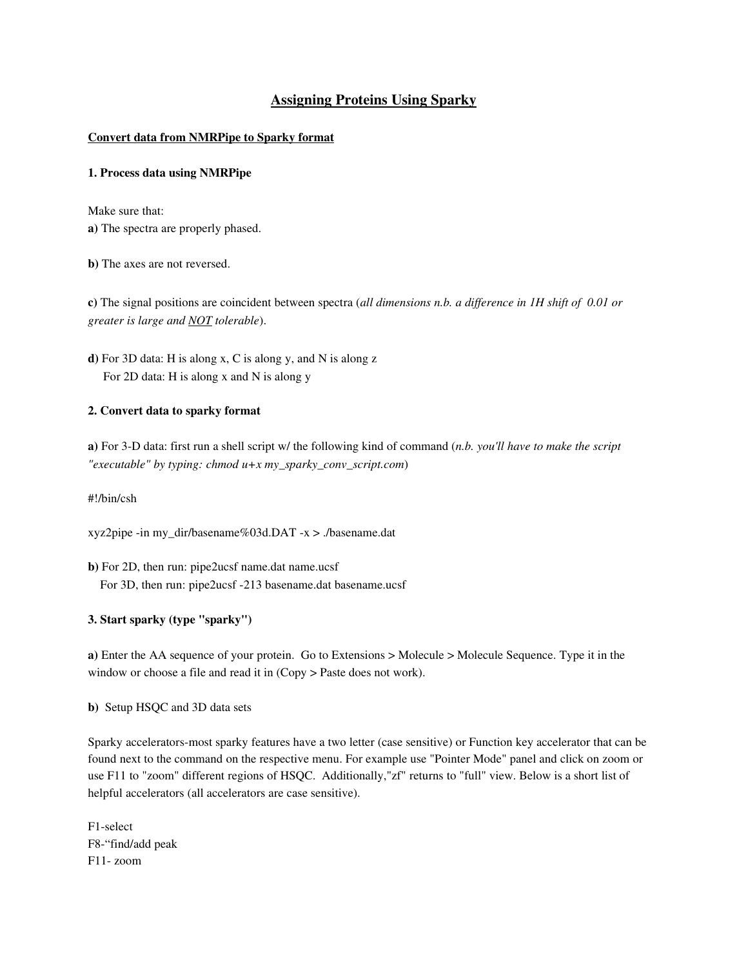# Assigning Proteins Using Sparky

### Convert data from NMRPipe to Sparky format

### 1. Process data using NMRPipe

Make sure that: a) The spectra are properly phased.

b) The axes are not reversed.

c) The signal positions are coincident between spectra (*all dimensions n.b. a difference in 1H shift of 0.01 or greater is large and NOT tolerable*).

d) For 3D data: H is along x, C is along y, and N is along z For 2D data: H is along x and N is along y

### 2. Convert data to sparky format

a) For 3D data: first run a shell script w/ the following kind of command (*n.b. you'll have to make the script "executable" by typing: chmod u+x my\_sparky\_conv\_script.com*)

#!/bin/csh

xyz2pipe -in my\_dir/basename%03d.DAT -x > ./basename.dat

b) For 2D, then run: pipe2ucsf name.dat name.ucsf For 3D, then run: pipe2ucsf -213 basename.dat basename.ucsf

## 3. Start sparky (type "sparky")

a) Enter the AA sequence of your protein. Go to Extensions > Molecule > Molecule Sequence. Type it in the window or choose a file and read it in (Copy > Paste does not work).

b) Setup HSQC and 3D data sets

Sparky accelerators-most sparky features have a two letter (case sensitive) or Function key accelerator that can be found next to the command on the respective menu. For example use "Pointer Mode" panel and click on zoom or use F11 to "zoom" different regions of HSQC. Additionally,"zf" returns to "full" view. Below is a short list of helpful accelerators (all accelerators are case sensitive).

F1-select F8-"find/add peak F11-zoom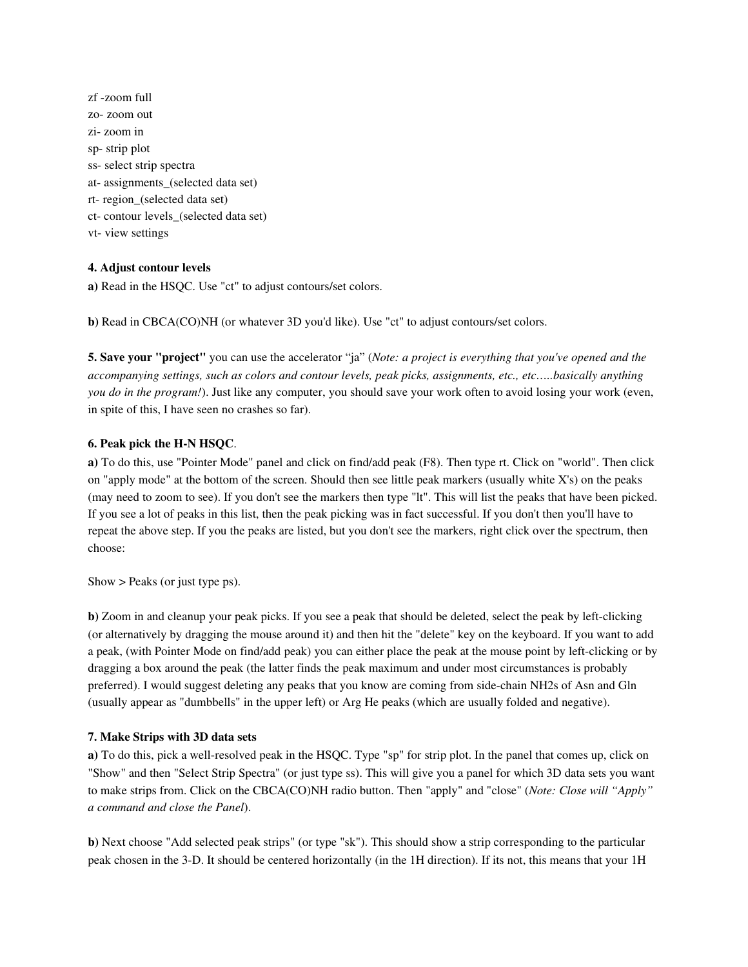zf zoom full zo-zoom out zi-zoom in sp-strip plot ss- select strip spectra at- assignments\_(selected data set) rt-region (selected data set) ct- contour levels\_(selected data set) vt-view settings

# 4. Adjust contour levels

a) Read in the HSQC. Use "ct" to adjust contours/set colors.

b) Read in CBCA(CO)NH (or whatever 3D you'd like). Use "ct" to adjust contours/set colors.

5. Save your "project" you can use the accelerator "ja" (*Note: a project is everything that you've opened and the accompanying settings, such as colors and contour levels, peak picks, assignments, etc., etc…..basically anything you do in the program!*). Just like any computer, you should save your work often to avoid losing your work (even, in spite of this, I have seen no crashes so far).

### 6. Peak pick the H-N HSQC.

a) To do this, use "Pointer Mode" panel and click on find/add peak (F8). Then type rt. Click on "world". Then click on "apply mode" at the bottom of the screen. Should then see little peak markers (usually white X's) on the peaks (may need to zoom to see). If you don't see the markers then type "lt". This will list the peaks that have been picked. If you see a lot of peaks in this list, then the peak picking was in fact successful. If you don't then you'll have to repeat the above step. If you the peaks are listed, but you don't see the markers, right click over the spectrum, then choose:

Show > Peaks (or just type ps).

b) Zoom in and cleanup your peak picks. If you see a peak that should be deleted, select the peak by left-clicking (or alternatively by dragging the mouse around it) and then hit the "delete" key on the keyboard. If you want to add a peak, (with Pointer Mode on find/add peak) you can either place the peak at the mouse point by left-clicking or by dragging a box around the peak (the latter finds the peak maximum and under most circumstances is probably preferred). I would suggest deleting any peaks that you know are coming from sidechain NH2s of Asn and Gln (usually appear as "dumbbells" in the upper left) or Arg He peaks (which are usually folded and negative).

#### 7. Make Strips with 3D data sets

a) To do this, pick a well-resolved peak in the HSQC. Type "sp" for strip plot. In the panel that comes up, click on "Show" and then "Select Strip Spectra" (or just type ss). This will give you a panel for which 3D data sets you want to make strips from. Click on the CBCA(CO)NH radio button. Then "apply" and "close" (*Note: Close will "Apply" a command and close the Panel*).

b) Next choose "Add selected peak strips" (or type "sk"). This should show a strip corresponding to the particular peak chosen in the 3D. It should be centered horizontally (in the 1H direction). If its not, this means that your 1H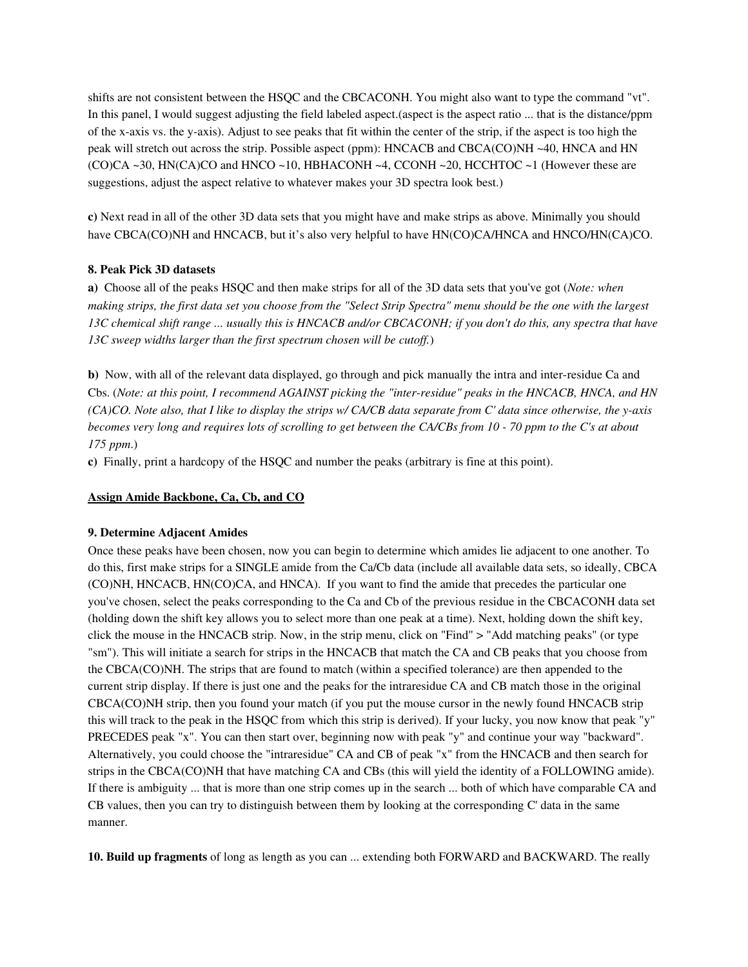shifts are not consistent between the HSQC and the CBCACONH. You might also want to type the command "vt". In this panel, I would suggest adjusting the field labeled aspect.(aspect is the aspect ratio ... that is the distance/ppm of the x-axis vs. the y-axis). Adjust to see peaks that fit within the center of the strip, if the aspect is too high the peak will stretch out across the strip. Possible aspect (ppm): HNCACB and CBCA(CO)NH ~40, HNCA and HN  $(CO)CA \sim 30$ , HN $(CA)CO$  and HNCO ~10, HBHACONH ~4, CCONH ~20, HCCHTOC ~1 (However these are suggestions, adjust the aspect relative to whatever makes your 3D spectra look best.)

c) Next read in all of the other 3D data sets that you might have and make strips as above. Minimally you should have CBCA(CO)NH and HNCACB, but it's also very helpful to have HN(CO)CA/HNCA and HNCO/HN(CA)CO.

#### 8. Peak Pick 3D datasets

a) Choose all of the peaks HSQC and then make strips for all of the 3D data sets that you've got (*Note: when making strips, the first data set you choose from the "Select Strip Spectra" menu should be the one with the largest 13C chemical shift range ... usually this is HNCACB and/or CBCACONH; if you don't do this, any spectra that have 13C sweep widths larger than the first spectrum chosen will be cutoff.*)

b) Now, with all of the relevant data displayed, go through and pick manually the intra and interresidue Ca and Cbs. (*Note: at this point, I recommend AGAINST picking the "interresidue" peaks in the HNCACB, HNCA, and HN (CA)CO. Note also, that I like to display the strips w/ CA/CB data separate from C' data since otherwise, the yaxis becomes very long and requires lots of scrolling to get between the CA/CBs from 10 70 ppm to the C's at about 175 ppm*.)

c) Finally, print a hardcopy of the HSQC and number the peaks (arbitrary is fine at this point).

### Assign Amide Backbone, Ca, Cb, and CO

#### 9. Determine Adjacent Amides

Once these peaks have been chosen, now you can begin to determine which amides lie adjacent to one another. To do this, first make strips for a SINGLE amide from the Ca/Cb data (include all available data sets, so ideally, CBCA (CO)NH, HNCACB, HN(CO)CA, and HNCA). If you want to find the amide that precedes the particular one you've chosen, select the peaks corresponding to the Ca and Cb of the previous residue in the CBCACONH data set (holding down the shift key allows you to select more than one peak at a time). Next, holding down the shift key, click the mouse in the HNCACB strip. Now, in the strip menu, click on "Find" > "Add matching peaks" (or type "sm"). This will initiate a search for strips in the HNCACB that match the CA and CB peaks that you choose from the CBCA(CO)NH. The strips that are found to match (within a specified tolerance) are then appended to the current strip display. If there is just one and the peaks for the intraresidue CA and CB match those in the original CBCA(CO)NH strip, then you found your match (if you put the mouse cursor in the newly found HNCACB strip this will track to the peak in the HSQC from which this strip is derived). If your lucky, you now know that peak "y" PRECEDES peak "x". You can then start over, beginning now with peak "y" and continue your way "backward". Alternatively, you could choose the "intraresidue" CA and CB of peak "x" from the HNCACB and then search for strips in the CBCA(CO)NH that have matching CA and CBs (this will yield the identity of a FOLLOWING amide). If there is ambiguity ... that is more than one strip comes up in the search ... both of which have comparable CA and CB values, then you can try to distinguish between them by looking at the corresponding C' data in the same manner.

10. Build up fragments of long as length as you can ... extending both FORWARD and BACKWARD. The really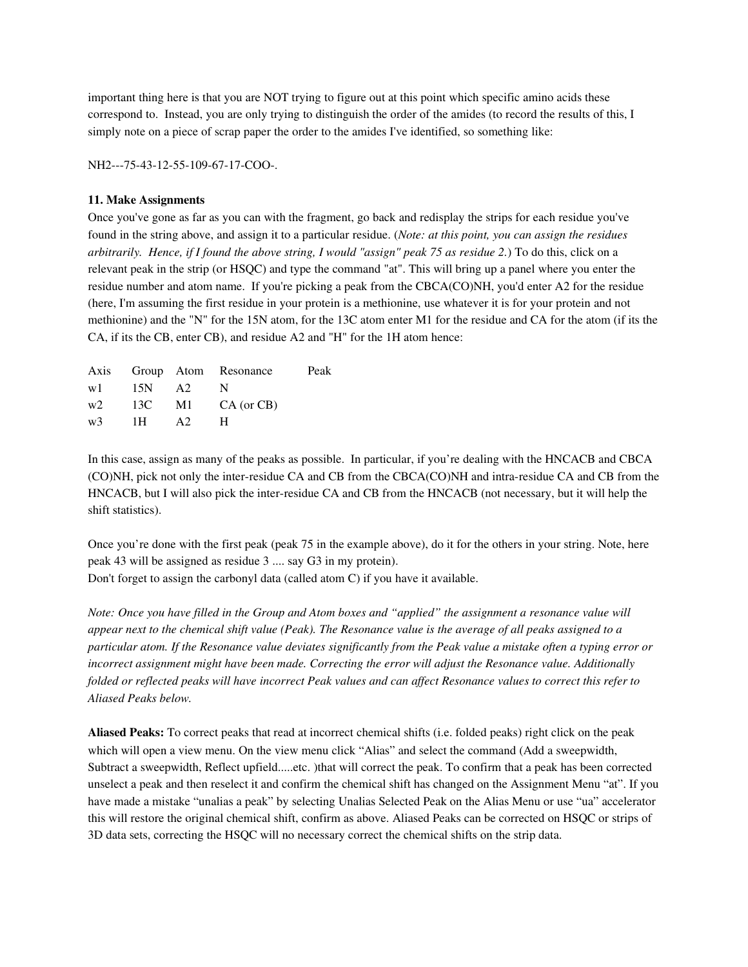important thing here is that you are NOT trying to figure out at this point which specific amino acids these correspond to. Instead, you are only trying to distinguish the order of the amides (to record the results of this, I simply note on a piece of scrap paper the order to the amides I've identified, so something like:

NH2---75-43-12-55-109-67-17-COO-.

### 11. Make Assignments

Once you've gone as far as you can with the fragment, go back and redisplay the strips for each residue you've found in the string above, and assign it to a particular residue. (*Note: at this point, you can assign the residues arbitrarily. Hence, if I found the above string, I would "assign" peak 75 as residue 2.*) To do this, click on a relevant peak in the strip (or HSQC) and type the command "at". This will bring up a panel where you enter the residue number and atom name. If you're picking a peak from the CBCA(CO)NH, you'd enter A2 for the residue (here, I'm assuming the first residue in your protein is a methionine, use whatever it is for your protein and not methionine) and the "N" for the 15N atom, for the 13C atom enter M1 for the residue and CA for the atom (if its the CA, if its the CB, enter CB), and residue A2 and "H" for the 1H atom hence:

|               | Axis Group Atom Resonance                   | Peak |
|---------------|---------------------------------------------|------|
| $w1$ 15N A2 N |                                             |      |
|               | $w2 \qquad 13C \qquad M1 \qquad CA (or CB)$ |      |
| $w3$ 1H A2    | н                                           |      |

In this case, assign as many of the peaks as possible. In particular, if you're dealing with the HNCACB and CBCA (CO)NH, pick not only the interresidue CA and CB from the CBCA(CO)NH and intraresidue CA and CB from the HNCACB, but I will also pick the inter-residue CA and CB from the HNCACB (not necessary, but it will help the shift statistics).

Once you're done with the first peak (peak 75 in the example above), do it for the others in your string. Note, here peak 43 will be assigned as residue 3 .... say G3 in my protein).

Don't forget to assign the carbonyl data (called atom C) if you have it available.

*Note: Once you have filled in the Group and Atom boxes and "applied" the assignment a resonance value will appear next to the chemical shift value (Peak). The Resonance value is the average of all peaks assigned to a particular atom. If the Resonance value deviates significantly from the Peak value a mistake often a typing error or incorrect assignment might have been made. Correcting the error will adjust the Resonance value. Additionally folded or reflected peaks will have incorrect Peak values and can affect Resonance values to correct this refer to Aliased Peaks below.*

Aliased Peaks: To correct peaks that read at incorrect chemical shifts (i.e. folded peaks) right click on the peak which will open a view menu. On the view menu click "Alias" and select the command (Add a sweepwidth, Subtract a sweepwidth, Reflect upfield.....etc. )that will correct the peak. To confirm that a peak has been corrected unselect a peak and then reselect it and confirm the chemical shift has changed on the Assignment Menu "at". If you have made a mistake "unalias a peak" by selecting Unalias Selected Peak on the Alias Menu or use "ua" accelerator this will restore the original chemical shift, confirm as above. Aliased Peaks can be corrected on HSQC or strips of 3D data sets, correcting the HSQC will no necessary correct the chemical shifts on the strip data.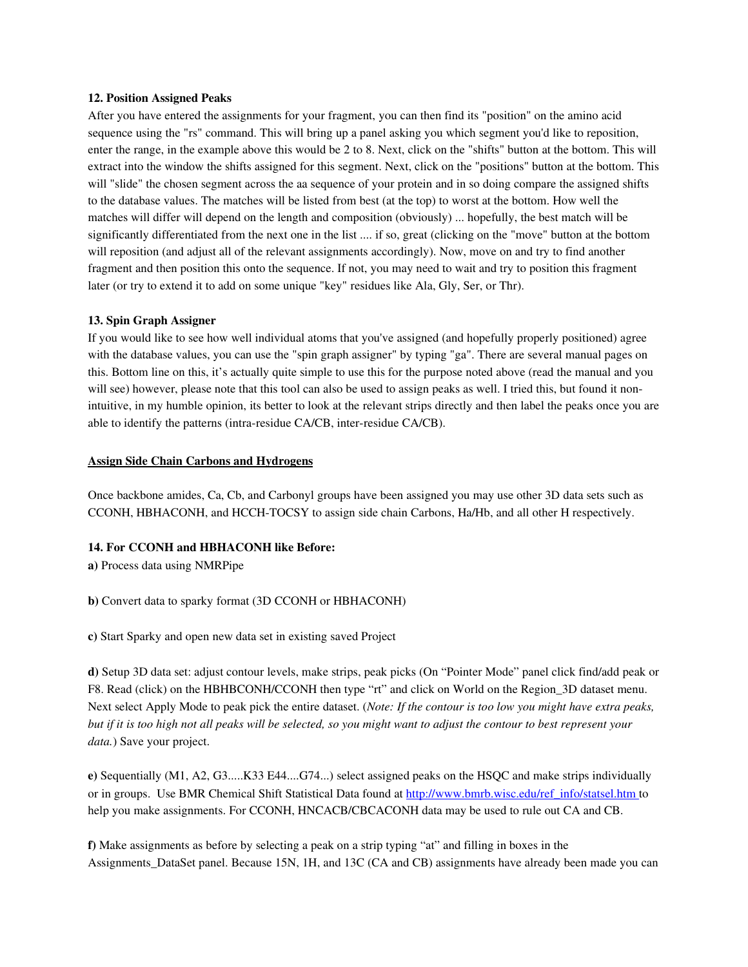#### 12. Position Assigned Peaks

After you have entered the assignments for your fragment, you can then find its "position" on the amino acid sequence using the "rs" command. This will bring up a panel asking you which segment you'd like to reposition, enter the range, in the example above this would be 2 to 8. Next, click on the "shifts" button at the bottom. This will extract into the window the shifts assigned for this segment. Next, click on the "positions" button at the bottom. This will "slide" the chosen segment across the aa sequence of your protein and in so doing compare the assigned shifts to the database values. The matches will be listed from best (at the top) to worst at the bottom. How well the matches will differ will depend on the length and composition (obviously) ... hopefully, the best match will be significantly differentiated from the next one in the list .... if so, great (clicking on the "move" button at the bottom will reposition (and adjust all of the relevant assignments accordingly). Now, move on and try to find another fragment and then position this onto the sequence. If not, you may need to wait and try to position this fragment later (or try to extend it to add on some unique "key" residues like Ala, Gly, Ser, or Thr).

#### 13. Spin Graph Assigner

If you would like to see how well individual atoms that you've assigned (and hopefully properly positioned) agree with the database values, you can use the "spin graph assigner" by typing "ga". There are several manual pages on this. Bottom line on this, it's actually quite simple to use this for the purpose noted above (read the manual and you will see) however, please note that this tool can also be used to assign peaks as well. I tried this, but found it nonintuitive, in my humble opinion, its better to look at the relevant strips directly and then label the peaks once you are able to identify the patterns (intra-residue CA/CB, inter-residue CA/CB).

#### Assign Side Chain Carbons and Hydrogens

Once backbone amides, Ca, Cb, and Carbonyl groups have been assigned you may use other 3D data sets such as CCONH, HBHACONH, and HCCH-TOCSY to assign side chain Carbons, Ha/Hb, and all other H respectively.

#### 14. For CCONH and HBHACONH like Before:

a) Process data using NMRPipe

b) Convert data to sparky format (3D CCONH or HBHACONH)

c) Start Sparky and open new data set in existing saved Project

d) Setup 3D data set: adjust contour levels, make strips, peak picks (On "Pointer Mode" panel click find/add peak or F8. Read (click) on the HBHBCONH/CCONH then type "rt" and click on World on the Region\_3D dataset menu. Next select Apply Mode to peak pick the entire dataset. (*Note: If the contour is too low you might have extra peaks, but if it is too high not all peaks will be selected, so you might want to adjust the contour to best represent your data.*) Save your project.

e) Sequentially (M1, A2, G3.....K33 E44....G74...) select assigned peaks on the HSQC and make strips individually or in groups. Use BMR Chemical Shift Statistical Data found at http://www.bmrb.wisc.edu/ref\_info/statsel.htm to help you make assignments. For CCONH, HNCACB/CBCACONH data may be used to rule out CA and CB.

f) Make assignments as before by selecting a peak on a strip typing "at" and filling in boxes in the Assignments DataSet panel. Because 15N, 1H, and 13C (CA and CB) assignments have already been made you can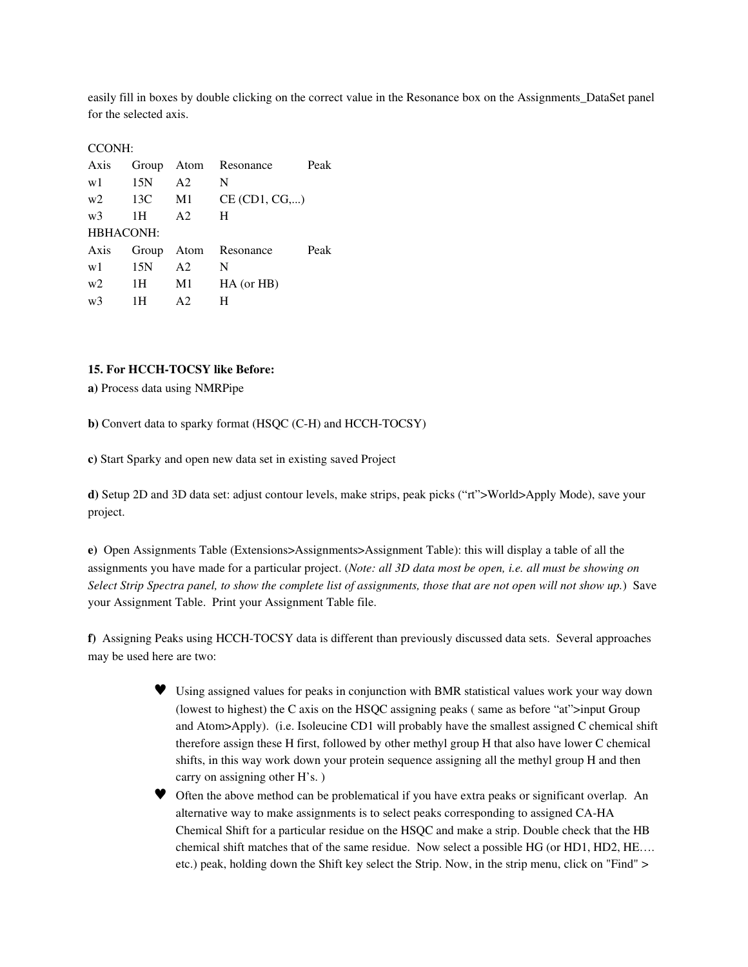easily fill in boxes by double clicking on the correct value in the Resonance box on the Assignments\_DataSet panel for the selected axis.

### CCONH:

| Axis           |     |                | Group Atom Resonance | Peak |  |
|----------------|-----|----------------|----------------------|------|--|
| w1             | 15N | A <sub>2</sub> | N                    |      |  |
| w <sub>2</sub> | 13C | M1             | CE (CD1, CG,)        |      |  |
| w <sub>3</sub> | 1H  | A2             | H                    |      |  |
| HBHACONH:      |     |                |                      |      |  |
| Axis           |     |                | Group Atom Resonance | Peak |  |
| w1             | 15N | A <sub>2</sub> | N                    |      |  |
| w2             | 1Н  | M1             | $HA$ (or $HB$ )      |      |  |
| w <sub>3</sub> | 1Н  | A2             |                      |      |  |

### 15. For HCCH-TOCSY like Before:

a) Process data using NMRPipe

b) Convert data to sparky format (HSQC (C-H) and HCCH-TOCSY)

c) Start Sparky and open new data set in existing saved Project

d) Setup 2D and 3D data set: adjust contour levels, make strips, peak picks ("rt">World>Apply Mode), save your project.

e) Open Assignments Table (Extensions>Assignments>Assignment Table): this will display a table of all the assignments you have made for a particular project. (*Note: all 3D data most be open, i.e. all must be showing on Select Strip Spectra panel, to show the complete list of assignments, those that are not open will not show up.*) Save your Assignment Table. Print your Assignment Table file.

f) Assigning Peaks using HCCH-TOCSY data is different than previously discussed data sets. Several approaches may be used here are two:

- ♥ Using assigned values for peaks in conjunction with BMR statistical values work your way down (lowest to highest) the C axis on the HSQC assigning peaks ( same as before "at">input Group and Atom>Apply). (i.e. Isoleucine CD1 will probably have the smallest assigned C chemical shift therefore assign these H first, followed by other methyl group H that also have lower C chemical shifts, in this way work down your protein sequence assigning all the methyl group H and then carry on assigning other H's. )
- ♥ Often the above method can be problematical if you have extra peaks or significant overlap. An alternative way to make assignments is to select peaks corresponding to assigned CAHA Chemical Shift for a particular residue on the HSQC and make a strip. Double check that the HB chemical shift matches that of the same residue. Now select a possible HG (or HD1, HD2, HE…. etc.) peak, holding down the Shift key select the Strip. Now, in the strip menu, click on "Find" >